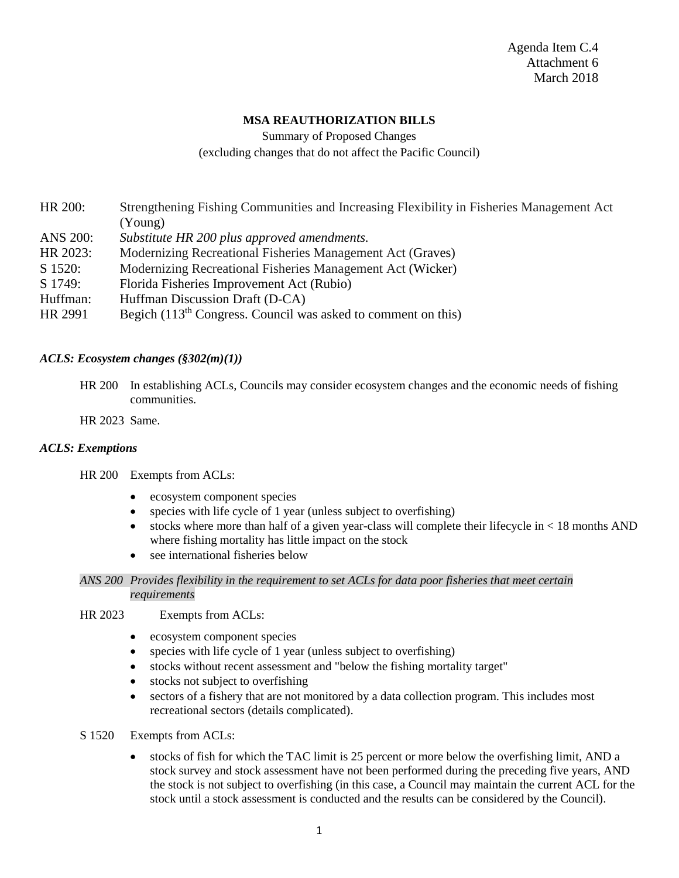# **MSA REAUTHORIZATION BILLS**

Summary of Proposed Changes (excluding changes that do not affect the Pacific Council)

HR 200: Strengthening Fishing Communities and Increasing Flexibility in Fisheries Management Act (Young)

- ANS 200: *Substitute HR 200 plus approved amendments.*
- HR 2023: Modernizing Recreational Fisheries Management Act (Graves)
- S 1520: Modernizing Recreational Fisheries Management Act (Wicker)
- S 1749: Florida Fisheries Improvement Act (Rubio)
- Huffman: Huffman Discussion Draft (D-CA)
- HR 2991 Begich  $(113<sup>th</sup> Congress. Council was asked to comment on this)$

### *ACLS: Ecosystem changes (§302(m)(1))*

HR 200 In establishing ACLs, Councils may consider ecosystem changes and the economic needs of fishing communities.

HR 2023 Same.

#### *ACLS: Exemptions*

HR 200 Exempts from ACLs:

- ecosystem component species
- species with life cycle of 1 year (unless subject to overfishing)
- stocks where more than half of a given year-class will complete their lifecycle in < 18 months AND where fishing mortality has little impact on the stock
- see international fisheries below

#### *ANS 200 Provides flexibility in the requirement to set ACLs for data poor fisheries that meet certain requirements*

- HR 2023 Exempts from ACLs:
	- ecosystem component species
	- species with life cycle of 1 year (unless subject to overfishing)
	- stocks without recent assessment and "below the fishing mortality target"
	- stocks not subject to overfishing
	- sectors of a fishery that are not monitored by a data collection program. This includes most recreational sectors (details complicated).
- S 1520 Exempts from ACLs:
	- stocks of fish for which the TAC limit is 25 percent or more below the overfishing limit, AND a stock survey and stock assessment have not been performed during the preceding five years, AND the stock is not subject to overfishing (in this case, a Council may maintain the current ACL for the stock until a stock assessment is conducted and the results can be considered by the Council).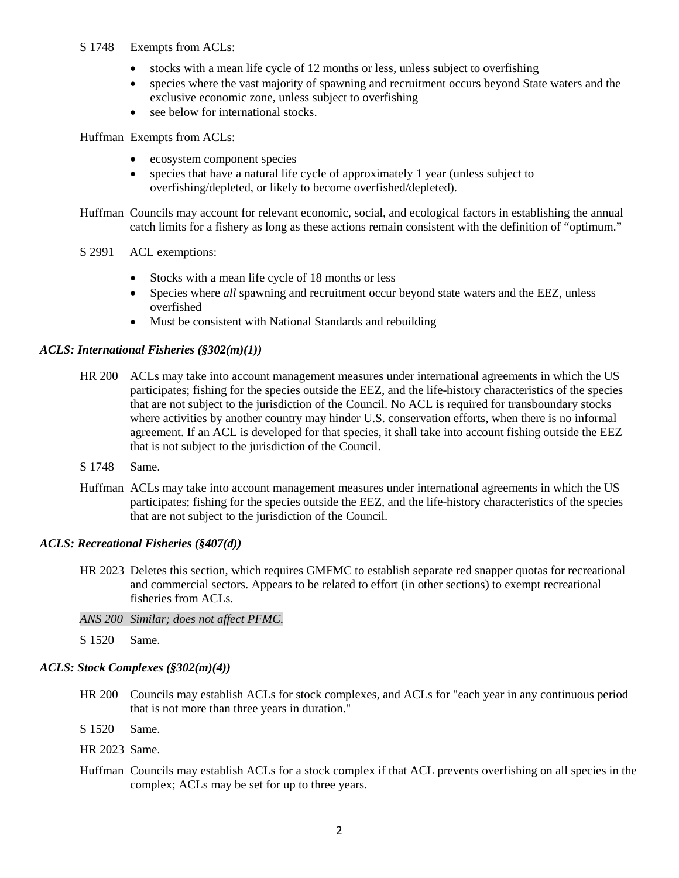## S 1748 Exempts from ACLs:

- stocks with a mean life cycle of 12 months or less, unless subject to overfishing
- species where the vast majority of spawning and recruitment occurs beyond State waters and the exclusive economic zone, unless subject to overfishing
- see below for international stocks.

Huffman Exempts from ACLs:

- ecosystem component species
- species that have a natural life cycle of approximately 1 year (unless subject to overfishing/depleted, or likely to become overfished/depleted).

Huffman Councils may account for relevant economic, social, and ecological factors in establishing the annual catch limits for a fishery as long as these actions remain consistent with the definition of "optimum."

- S 2991 ACL exemptions:
	- Stocks with a mean life cycle of 18 months or less
	- Species where *all* spawning and recruitment occur beyond state waters and the EEZ, unless overfished
	- Must be consistent with National Standards and rebuilding

## *ACLS: International Fisheries (§302(m)(1))*

- HR 200 ACLs may take into account management measures under international agreements in which the US participates; fishing for the species outside the EEZ, and the life-history characteristics of the species that are not subject to the jurisdiction of the Council. No ACL is required for transboundary stocks where activities by another country may hinder U.S. conservation efforts, when there is no informal agreement. If an ACL is developed for that species, it shall take into account fishing outside the EEZ that is not subject to the jurisdiction of the Council.
- S 1748 Same.
- Huffman ACLs may take into account management measures under international agreements in which the US participates; fishing for the species outside the EEZ, and the life-history characteristics of the species that are not subject to the jurisdiction of the Council.

## *ACLS: Recreational Fisheries (§407(d))*

- HR 2023 Deletes this section, which requires GMFMC to establish separate red snapper quotas for recreational and commercial sectors. Appears to be related to effort (in other sections) to exempt recreational fisheries from ACLs.
- *ANS 200 Similar; does not affect PFMC.*

S 1520 Same.

## *ACLS: Stock Complexes (§302(m)(4))*

HR 200 Councils may establish ACLs for stock complexes, and ACLs for "each year in any continuous period that is not more than three years in duration."

S 1520 Same.

HR 2023 Same.

Huffman Councils may establish ACLs for a stock complex if that ACL prevents overfishing on all species in the complex; ACLs may be set for up to three years.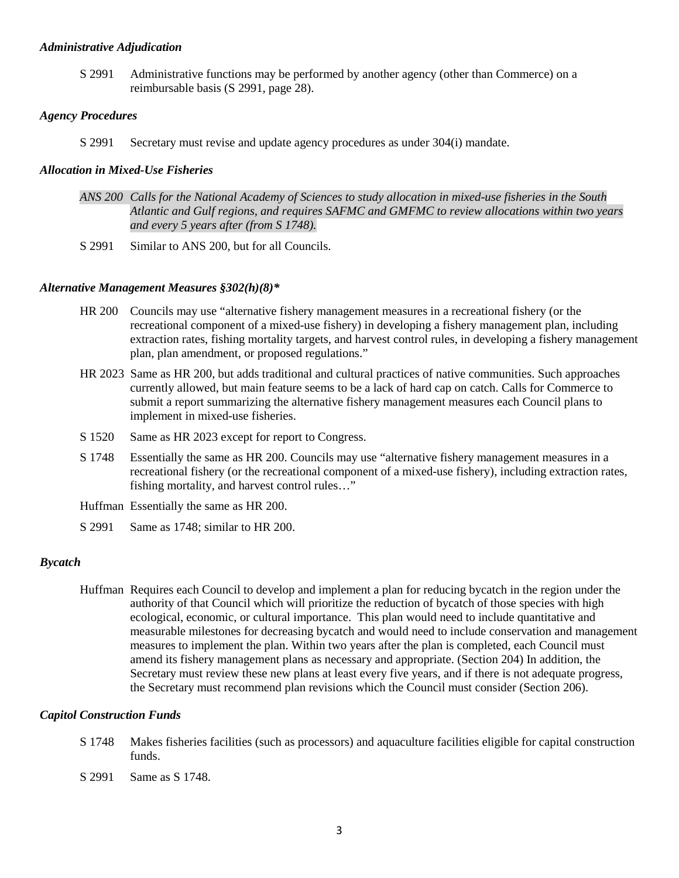#### *Administrative Adjudication*

S 2991 Administrative functions may be performed by another agency (other than Commerce) on a reimbursable basis (S 2991, page 28).

#### *Agency Procedures*

S 2991 Secretary must revise and update agency procedures as under 304(i) mandate.

## *Allocation in Mixed-Use Fisheries*

- *ANS 200 Calls for the National Academy of Sciences to study allocation in mixed-use fisheries in the South Atlantic and Gulf regions, and requires SAFMC and GMFMC to review allocations within two years and every 5 years after (from S 1748).*
- S 2991 Similar to ANS 200, but for all Councils.

### *Alternative Management Measures §302(h)(8)\**

- HR 200 Councils may use "alternative fishery management measures in a recreational fishery (or the recreational component of a mixed-use fishery) in developing a fishery management plan, including extraction rates, fishing mortality targets, and harvest control rules, in developing a fishery management plan, plan amendment, or proposed regulations."
- HR 2023 Same as HR 200, but adds traditional and cultural practices of native communities. Such approaches currently allowed, but main feature seems to be a lack of hard cap on catch. Calls for Commerce to submit a report summarizing the alternative fishery management measures each Council plans to implement in mixed-use fisheries.
- S 1520 Same as HR 2023 except for report to Congress.
- S 1748 Essentially the same as HR 200. Councils may use "alternative fishery management measures in a recreational fishery (or the recreational component of a mixed-use fishery), including extraction rates, fishing mortality, and harvest control rules…"
- Huffman Essentially the same as HR 200.
- S 2991 Same as 1748; similar to HR 200.

#### *Bycatch*

Huffman Requires each Council to develop and implement a plan for reducing bycatch in the region under the authority of that Council which will prioritize the reduction of bycatch of those species with high ecological, economic, or cultural importance. This plan would need to include quantitative and measurable milestones for decreasing bycatch and would need to include conservation and management measures to implement the plan. Within two years after the plan is completed, each Council must amend its fishery management plans as necessary and appropriate. (Section 204) In addition, the Secretary must review these new plans at least every five years, and if there is not adequate progress, the Secretary must recommend plan revisions which the Council must consider (Section 206).

#### *Capitol Construction Funds*

- S 1748 Makes fisheries facilities (such as processors) and aquaculture facilities eligible for capital construction funds.
- S 2991 Same as S 1748.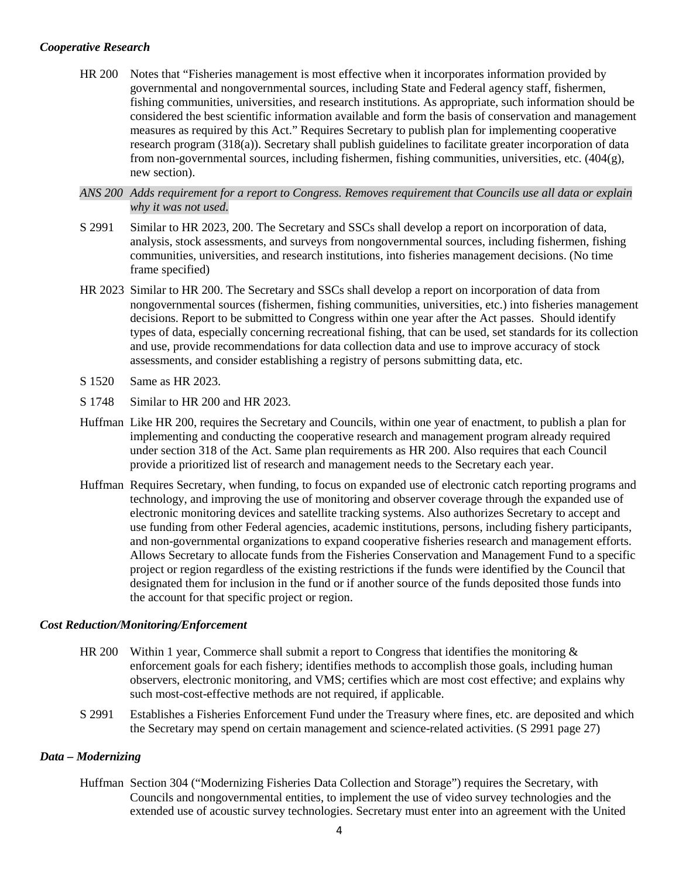## *Cooperative Research*

HR 200 Notes that "Fisheries management is most effective when it incorporates information provided by governmental and nongovernmental sources, including State and Federal agency staff, fishermen, fishing communities, universities, and research institutions. As appropriate, such information should be considered the best scientific information available and form the basis of conservation and management measures as required by this Act." Requires Secretary to publish plan for implementing cooperative research program (318(a)). Secretary shall publish guidelines to facilitate greater incorporation of data from non-governmental sources, including fishermen, fishing communities, universities, etc. (404(g), new section).

## *ANS 200 Adds requirement for a report to Congress. Removes requirement that Councils use all data or explain why it was not used.*

- S 2991 Similar to HR 2023, 200. The Secretary and SSCs shall develop a report on incorporation of data, analysis, stock assessments, and surveys from nongovernmental sources, including fishermen, fishing communities, universities, and research institutions, into fisheries management decisions. (No time frame specified)
- HR 2023 Similar to HR 200. The Secretary and SSCs shall develop a report on incorporation of data from nongovernmental sources (fishermen, fishing communities, universities, etc.) into fisheries management decisions. Report to be submitted to Congress within one year after the Act passes. Should identify types of data, especially concerning recreational fishing, that can be used, set standards for its collection and use, provide recommendations for data collection data and use to improve accuracy of stock assessments, and consider establishing a registry of persons submitting data, etc.
- S 1520 Same as HR 2023.
- S 1748 Similar to HR 200 and HR 2023.
- Huffman Like HR 200, requires the Secretary and Councils, within one year of enactment, to publish a plan for implementing and conducting the cooperative research and management program already required under section 318 of the Act. Same plan requirements as HR 200. Also requires that each Council provide a prioritized list of research and management needs to the Secretary each year.
- Huffman Requires Secretary, when funding, to focus on expanded use of electronic catch reporting programs and technology, and improving the use of monitoring and observer coverage through the expanded use of electronic monitoring devices and satellite tracking systems. Also authorizes Secretary to accept and use funding from other Federal agencies, academic institutions, persons, including fishery participants, and non-governmental organizations to expand cooperative fisheries research and management efforts. Allows Secretary to allocate funds from the Fisheries Conservation and Management Fund to a specific project or region regardless of the existing restrictions if the funds were identified by the Council that designated them for inclusion in the fund or if another source of the funds deposited those funds into the account for that specific project or region.

#### *Cost Reduction/Monitoring/Enforcement*

- HR 200 Within 1 year, Commerce shall submit a report to Congress that identifies the monitoring & enforcement goals for each fishery; identifies methods to accomplish those goals, including human observers, electronic monitoring, and VMS; certifies which are most cost effective; and explains why such most-cost-effective methods are not required, if applicable.
- S 2991 Establishes a Fisheries Enforcement Fund under the Treasury where fines, etc. are deposited and which the Secretary may spend on certain management and science-related activities. (S 2991 page 27)

## *Data – Modernizing*

Huffman Section 304 ("Modernizing Fisheries Data Collection and Storage") requires the Secretary, with Councils and nongovernmental entities, to implement the use of video survey technologies and the extended use of acoustic survey technologies. Secretary must enter into an agreement with the United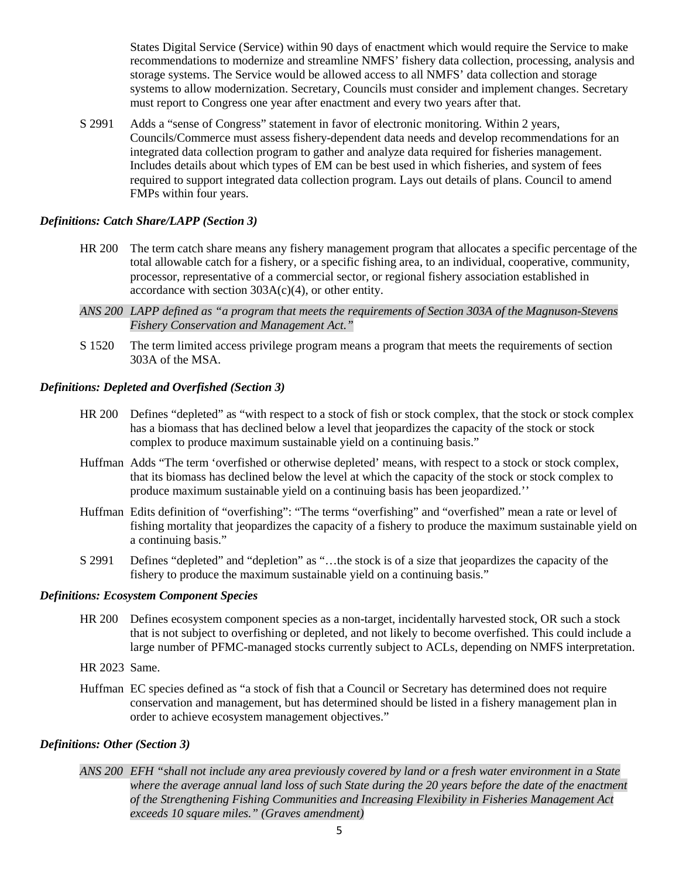States Digital Service (Service) within 90 days of enactment which would require the Service to make recommendations to modernize and streamline NMFS' fishery data collection, processing, analysis and storage systems. The Service would be allowed access to all NMFS' data collection and storage systems to allow modernization. Secretary, Councils must consider and implement changes. Secretary must report to Congress one year after enactment and every two years after that.

S 2991 Adds a "sense of Congress" statement in favor of electronic monitoring. Within 2 years, Councils/Commerce must assess fishery-dependent data needs and develop recommendations for an integrated data collection program to gather and analyze data required for fisheries management. Includes details about which types of EM can be best used in which fisheries, and system of fees required to support integrated data collection program. Lays out details of plans. Council to amend FMPs within four years.

## *Definitions: Catch Share/LAPP (Section 3)*

- HR 200 The term catch share means any fishery management program that allocates a specific percentage of the total allowable catch for a fishery, or a specific fishing area, to an individual, cooperative, community, processor, representative of a commercial sector, or regional fishery association established in accordance with section  $303A(c)(4)$ , or other entity.
- *ANS 200 LAPP defined as "a program that meets the requirements of Section 303A of the Magnuson-Stevens Fishery Conservation and Management Act."*
- S 1520 The term limited access privilege program means a program that meets the requirements of section 303A of the MSA.

## *Definitions: Depleted and Overfished (Section 3)*

- HR 200 Defines "depleted" as "with respect to a stock of fish or stock complex, that the stock or stock complex has a biomass that has declined below a level that jeopardizes the capacity of the stock or stock complex to produce maximum sustainable yield on a continuing basis."
- Huffman Adds "The term 'overfished or otherwise depleted' means, with respect to a stock or stock complex, that its biomass has declined below the level at which the capacity of the stock or stock complex to produce maximum sustainable yield on a continuing basis has been jeopardized.''
- Huffman Edits definition of "overfishing": "The terms "overfishing" and "overfished" mean a rate or level of fishing mortality that jeopardizes the capacity of a fishery to produce the maximum sustainable yield on a continuing basis."
- S 2991 Defines "depleted" and "depletion" as "…the stock is of a size that jeopardizes the capacity of the fishery to produce the maximum sustainable yield on a continuing basis."

#### *Definitions: Ecosystem Component Species*

- HR 200 Defines ecosystem component species as a non-target, incidentally harvested stock, OR such a stock that is not subject to overfishing or depleted, and not likely to become overfished. This could include a large number of PFMC-managed stocks currently subject to ACLs, depending on NMFS interpretation.
- HR 2023 Same.
- Huffman EC species defined as "a stock of fish that a Council or Secretary has determined does not require conservation and management, but has determined should be listed in a fishery management plan in order to achieve ecosystem management objectives."

#### *Definitions: Other (Section 3)*

*ANS 200 EFH "shall not include any area previously covered by land or a fresh water environment in a State where the average annual land loss of such State during the 20 years before the date of the enactment of the Strengthening Fishing Communities and Increasing Flexibility in Fisheries Management Act exceeds 10 square miles." (Graves amendment)*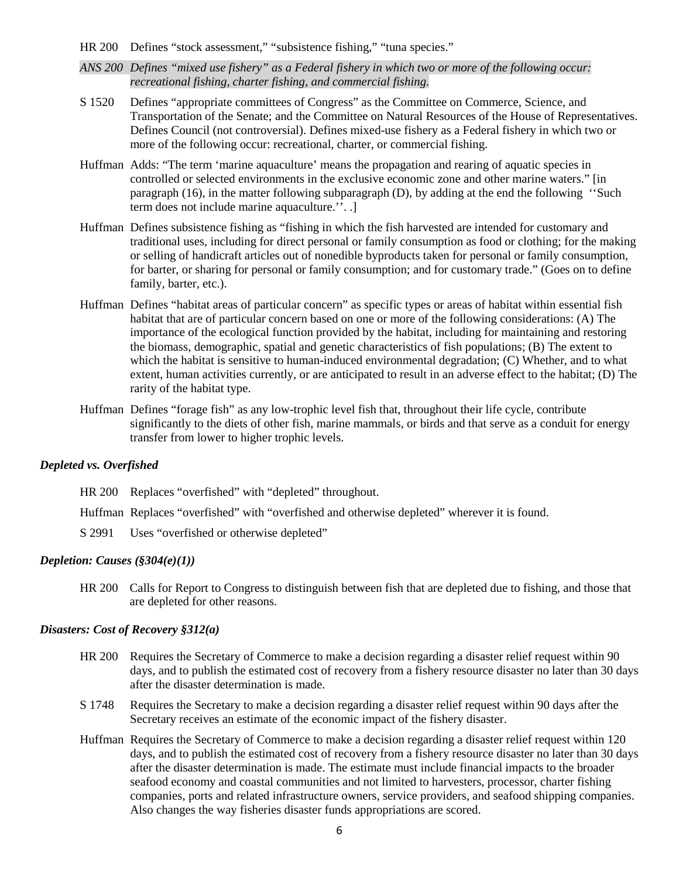- HR 200 Defines "stock assessment," "subsistence fishing," "tuna species."
- *ANS 200 Defines "mixed use fishery" as a Federal fishery in which two or more of the following occur: recreational fishing, charter fishing, and commercial fishing.*
- S 1520 Defines "appropriate committees of Congress" as the Committee on Commerce, Science, and Transportation of the Senate; and the Committee on Natural Resources of the House of Representatives. Defines Council (not controversial). Defines mixed-use fishery as a Federal fishery in which two or more of the following occur: recreational, charter, or commercial fishing.
- Huffman Adds: "The term 'marine aquaculture' means the propagation and rearing of aquatic species in controlled or selected environments in the exclusive economic zone and other marine waters." [in paragraph (16), in the matter following subparagraph (D), by adding at the end the following ''Such term does not include marine aquaculture.''. .]
- Huffman Defines subsistence fishing as "fishing in which the fish harvested are intended for customary and traditional uses, including for direct personal or family consumption as food or clothing; for the making or selling of handicraft articles out of nonedible byproducts taken for personal or family consumption, for barter, or sharing for personal or family consumption; and for customary trade." (Goes on to define family, barter, etc.).
- Huffman Defines "habitat areas of particular concern" as specific types or areas of habitat within essential fish habitat that are of particular concern based on one or more of the following considerations: (A) The importance of the ecological function provided by the habitat, including for maintaining and restoring the biomass, demographic, spatial and genetic characteristics of fish populations; (B) The extent to which the habitat is sensitive to human-induced environmental degradation; (C) Whether, and to what extent, human activities currently, or are anticipated to result in an adverse effect to the habitat; (D) The rarity of the habitat type.
- Huffman Defines "forage fish" as any low-trophic level fish that, throughout their life cycle, contribute significantly to the diets of other fish, marine mammals, or birds and that serve as a conduit for energy transfer from lower to higher trophic levels.

#### *Depleted vs. Overfished*

HR 200 Replaces "overfished" with "depleted" throughout.

Huffman Replaces "overfished" with "overfished and otherwise depleted" wherever it is found.

S 2991 Uses "overfished or otherwise depleted"

## *Depletion: Causes (§304(e)(1))*

HR 200 Calls for Report to Congress to distinguish between fish that are depleted due to fishing, and those that are depleted for other reasons.

## *Disasters: Cost of Recovery §312(a)*

- HR 200 Requires the Secretary of Commerce to make a decision regarding a disaster relief request within 90 days, and to publish the estimated cost of recovery from a fishery resource disaster no later than 30 days after the disaster determination is made.
- S 1748 Requires the Secretary to make a decision regarding a disaster relief request within 90 days after the Secretary receives an estimate of the economic impact of the fishery disaster.
- Huffman Requires the Secretary of Commerce to make a decision regarding a disaster relief request within 120 days, and to publish the estimated cost of recovery from a fishery resource disaster no later than 30 days after the disaster determination is made. The estimate must include financial impacts to the broader seafood economy and coastal communities and not limited to harvesters, processor, charter fishing companies, ports and related infrastructure owners, service providers, and seafood shipping companies. Also changes the way fisheries disaster funds appropriations are scored.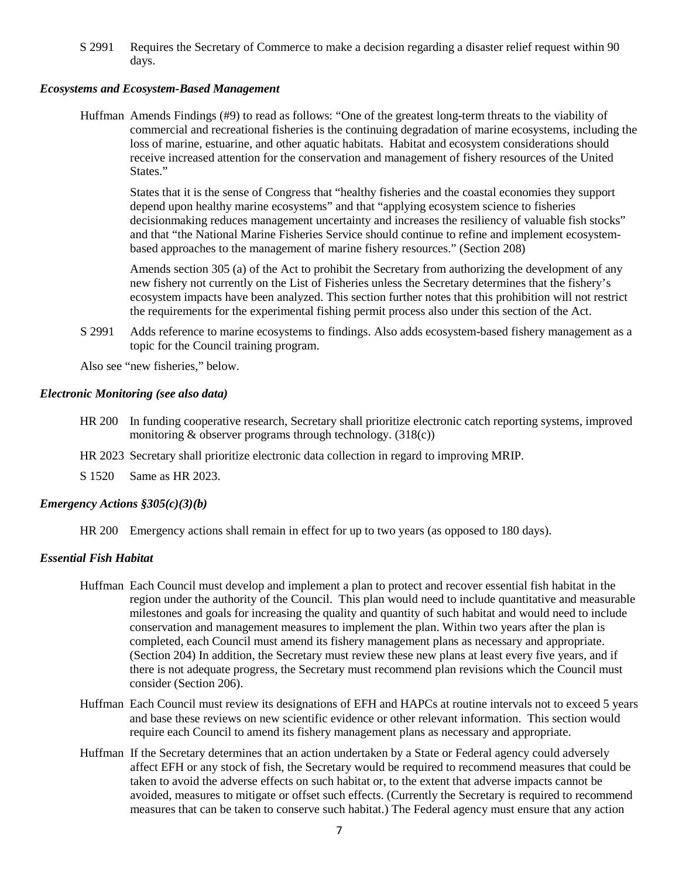S 2991 Requires the Secretary of Commerce to make a decision regarding a disaster relief request within 90 days.

## *Ecosystems and Ecosystem-Based Management*

Huffman Amends Findings (#9) to read as follows: "One of the greatest long-term threats to the viability of commercial and recreational fisheries is the continuing degradation of marine ecosystems, including the loss of marine, estuarine, and other aquatic habitats. Habitat and ecosystem considerations should receive increased attention for the conservation and management of fishery resources of the United States."

States that it is the sense of Congress that "healthy fisheries and the coastal economies they support depend upon healthy marine ecosystems" and that "applying ecosystem science to fisheries decisionmaking reduces management uncertainty and increases the resiliency of valuable fish stocks" and that "the National Marine Fisheries Service should continue to refine and implement ecosystembased approaches to the management of marine fishery resources." (Section 208)

Amends section 305 (a) of the Act to prohibit the Secretary from authorizing the development of any new fishery not currently on the List of Fisheries unless the Secretary determines that the fishery's ecosystem impacts have been analyzed. This section further notes that this prohibition will not restrict the requirements for the experimental fishing permit process also under this section of the Act.

S 2991 Adds reference to marine ecosystems to findings. Also adds ecosystem-based fishery management as a topic for the Council training program.

Also see "new fisheries," below.

### *Electronic Monitoring (see also data)*

- HR 200 In funding cooperative research, Secretary shall prioritize electronic catch reporting systems, improved monitoring & observer programs through technology. (318(c))
- HR 2023 Secretary shall prioritize electronic data collection in regard to improving MRIP.

S 1520 Same as HR 2023.

## *Emergency Actions §305(c)(3)(b)*

HR 200 Emergency actions shall remain in effect for up to two years (as opposed to 180 days).

## *Essential Fish Habitat*

- Huffman Each Council must develop and implement a plan to protect and recover essential fish habitat in the region under the authority of the Council. This plan would need to include quantitative and measurable milestones and goals for increasing the quality and quantity of such habitat and would need to include conservation and management measures to implement the plan. Within two years after the plan is completed, each Council must amend its fishery management plans as necessary and appropriate. (Section 204) In addition, the Secretary must review these new plans at least every five years, and if there is not adequate progress, the Secretary must recommend plan revisions which the Council must consider (Section 206).
- Huffman Each Council must review its designations of EFH and HAPCs at routine intervals not to exceed 5 years and base these reviews on new scientific evidence or other relevant information. This section would require each Council to amend its fishery management plans as necessary and appropriate.
- Huffman If the Secretary determines that an action undertaken by a State or Federal agency could adversely affect EFH or any stock of fish, the Secretary would be required to recommend measures that could be taken to avoid the adverse effects on such habitat or, to the extent that adverse impacts cannot be avoided, measures to mitigate or offset such effects. (Currently the Secretary is required to recommend measures that can be taken to conserve such habitat.) The Federal agency must ensure that any action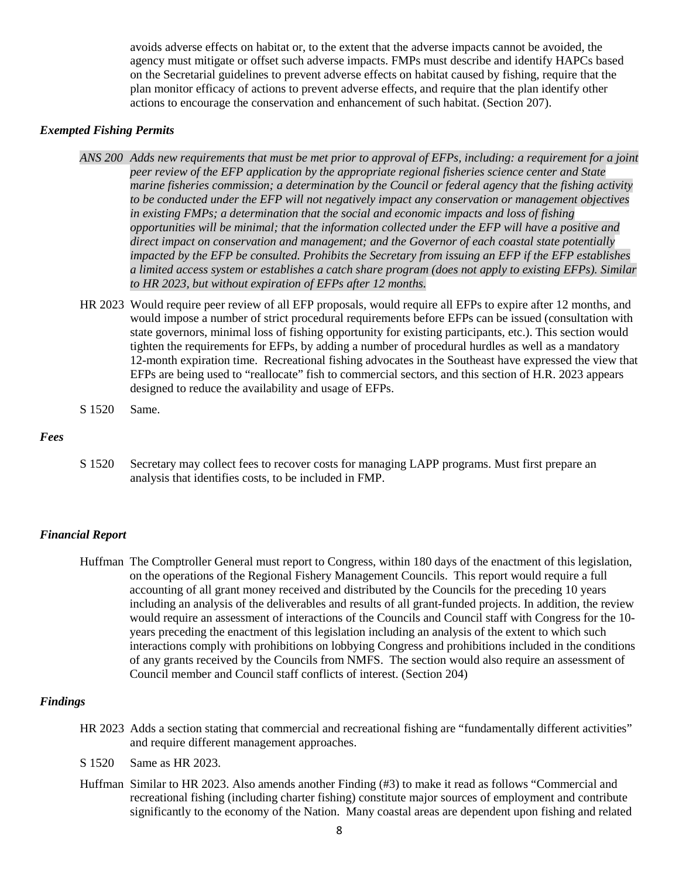avoids adverse effects on habitat or, to the extent that the adverse impacts cannot be avoided, the agency must mitigate or offset such adverse impacts. FMPs must describe and identify HAPCs based on the Secretarial guidelines to prevent adverse effects on habitat caused by fishing, require that the plan monitor efficacy of actions to prevent adverse effects, and require that the plan identify other actions to encourage the conservation and enhancement of such habitat. (Section 207).

### *Exempted Fishing Permits*

- *ANS 200 Adds new requirements that must be met prior to approval of EFPs, including: a requirement for a joint peer review of the EFP application by the appropriate regional fisheries science center and State marine fisheries commission; a determination by the Council or federal agency that the fishing activity to be conducted under the EFP will not negatively impact any conservation or management objectives in existing FMPs; a determination that the social and economic impacts and loss of fishing opportunities will be minimal; that the information collected under the EFP will have a positive and direct impact on conservation and management; and the Governor of each coastal state potentially impacted by the EFP be consulted. Prohibits the Secretary from issuing an EFP if the EFP establishes a limited access system or establishes a catch share program (does not apply to existing EFPs). Similar to HR 2023, but without expiration of EFPs after 12 months.*
- HR 2023 Would require peer review of all EFP proposals, would require all EFPs to expire after 12 months, and would impose a number of strict procedural requirements before EFPs can be issued (consultation with state governors, minimal loss of fishing opportunity for existing participants, etc.). This section would tighten the requirements for EFPs, by adding a number of procedural hurdles as well as a mandatory 12-month expiration time. Recreational fishing advocates in the Southeast have expressed the view that EFPs are being used to "reallocate" fish to commercial sectors, and this section of H.R. 2023 appears designed to reduce the availability and usage of EFPs.
- S 1520 Same.

#### *Fees*

S 1520 Secretary may collect fees to recover costs for managing LAPP programs. Must first prepare an analysis that identifies costs, to be included in FMP.

#### *Financial Report*

Huffman The Comptroller General must report to Congress, within 180 days of the enactment of this legislation, on the operations of the Regional Fishery Management Councils. This report would require a full accounting of all grant money received and distributed by the Councils for the preceding 10 years including an analysis of the deliverables and results of all grant-funded projects. In addition, the review would require an assessment of interactions of the Councils and Council staff with Congress for the 10 years preceding the enactment of this legislation including an analysis of the extent to which such interactions comply with prohibitions on lobbying Congress and prohibitions included in the conditions of any grants received by the Councils from NMFS. The section would also require an assessment of Council member and Council staff conflicts of interest. (Section 204)

### *Findings*

- HR 2023 Adds a section stating that commercial and recreational fishing are "fundamentally different activities" and require different management approaches.
- S 1520 Same as HR 2023.
- Huffman Similar to HR 2023. Also amends another Finding (#3) to make it read as follows "Commercial and recreational fishing (including charter fishing) constitute major sources of employment and contribute significantly to the economy of the Nation. Many coastal areas are dependent upon fishing and related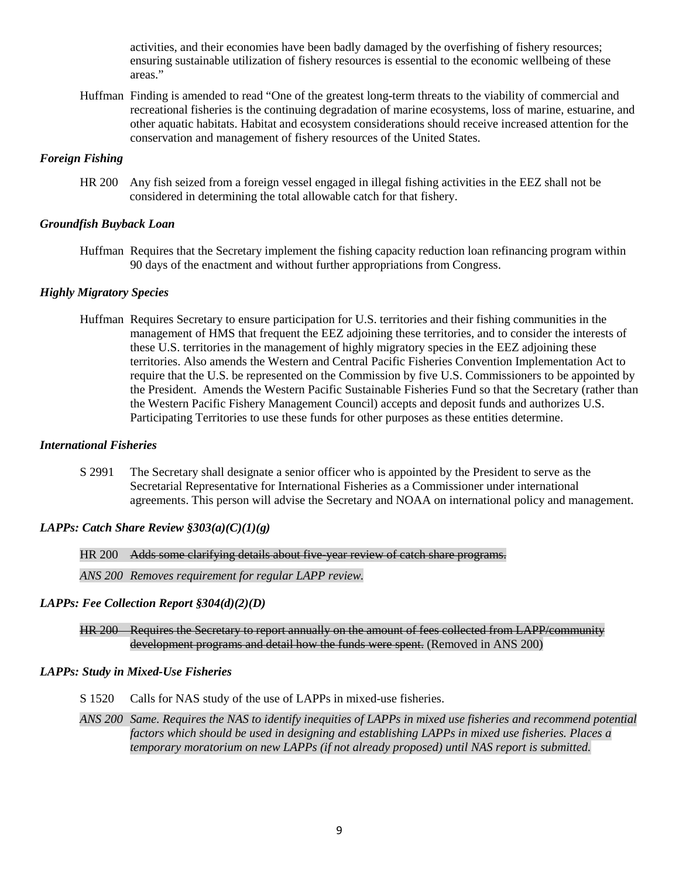activities, and their economies have been badly damaged by the overfishing of fishery resources; ensuring sustainable utilization of fishery resources is essential to the economic wellbeing of these areas."

Huffman Finding is amended to read "One of the greatest long-term threats to the viability of commercial and recreational fisheries is the continuing degradation of marine ecosystems, loss of marine, estuarine, and other aquatic habitats. Habitat and ecosystem considerations should receive increased attention for the conservation and management of fishery resources of the United States.

## *Foreign Fishing*

HR 200 Any fish seized from a foreign vessel engaged in illegal fishing activities in the EEZ shall not be considered in determining the total allowable catch for that fishery.

#### *Groundfish Buyback Loan*

Huffman Requires that the Secretary implement the fishing capacity reduction loan refinancing program within 90 days of the enactment and without further appropriations from Congress.

## *Highly Migratory Species*

Huffman Requires Secretary to ensure participation for U.S. territories and their fishing communities in the management of HMS that frequent the EEZ adjoining these territories, and to consider the interests of these U.S. territories in the management of highly migratory species in the EEZ adjoining these territories. Also amends the Western and Central Pacific Fisheries Convention Implementation Act to require that the U.S. be represented on the Commission by five U.S. Commissioners to be appointed by the President. Amends the Western Pacific Sustainable Fisheries Fund so that the Secretary (rather than the Western Pacific Fishery Management Council) accepts and deposit funds and authorizes U.S. Participating Territories to use these funds for other purposes as these entities determine.

#### *International Fisheries*

S 2991 The Secretary shall designate a senior officer who is appointed by the President to serve as the Secretarial Representative for International Fisheries as a Commissioner under international agreements. This person will advise the Secretary and NOAA on international policy and management.

# *LAPPs: Catch Share Review §303(a)(C)(1)(g)*

HR 200 Adds some clarifying details about five-year review of catch share programs.

*ANS 200 Removes requirement for regular LAPP review.*

## *LAPPs: Fee Collection Report §304(d)(2)(D)*

HR 200 Requires the Secretary to report annually on the amount of fees collected from LAPP/community development programs and detail how the funds were spent. (Removed in ANS 200)

## *LAPPs: Study in Mixed-Use Fisheries*

S 1520 Calls for NAS study of the use of LAPPs in mixed-use fisheries.

*ANS 200 Same. Requires the NAS to identify inequities of LAPPs in mixed use fisheries and recommend potential factors which should be used in designing and establishing LAPPs in mixed use fisheries. Places a temporary moratorium on new LAPPs (if not already proposed) until NAS report is submitted.*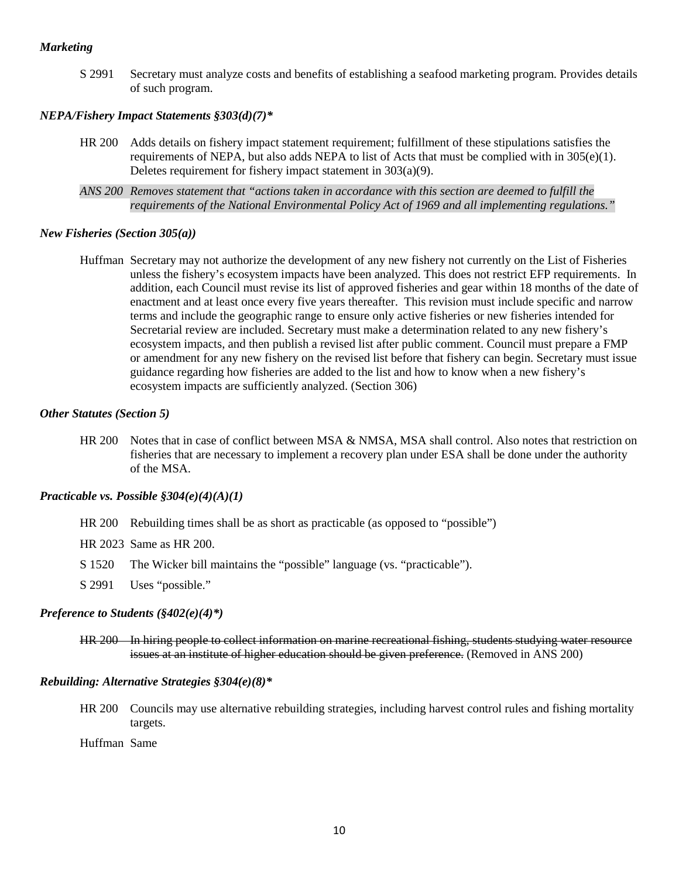### *Marketing*

S 2991 Secretary must analyze costs and benefits of establishing a seafood marketing program. Provides details of such program.

## *NEPA/Fishery Impact Statements §303(d)(7)\**

- HR 200 Adds details on fishery impact statement requirement; fulfillment of these stipulations satisfies the requirements of NEPA, but also adds NEPA to list of Acts that must be complied with in  $305(e)(1)$ . Deletes requirement for fishery impact statement in 303(a)(9).
- *ANS 200 Removes statement that "actions taken in accordance with this section are deemed to fulfill the requirements of the National Environmental Policy Act of 1969 and all implementing regulations."*

### *New Fisheries (Section 305(a))*

Huffman Secretary may not authorize the development of any new fishery not currently on the List of Fisheries unless the fishery's ecosystem impacts have been analyzed. This does not restrict EFP requirements. In addition, each Council must revise its list of approved fisheries and gear within 18 months of the date of enactment and at least once every five years thereafter. This revision must include specific and narrow terms and include the geographic range to ensure only active fisheries or new fisheries intended for Secretarial review are included. Secretary must make a determination related to any new fishery's ecosystem impacts, and then publish a revised list after public comment. Council must prepare a FMP or amendment for any new fishery on the revised list before that fishery can begin. Secretary must issue guidance regarding how fisheries are added to the list and how to know when a new fishery's ecosystem impacts are sufficiently analyzed. (Section 306)

## *Other Statutes (Section 5)*

HR 200 Notes that in case of conflict between MSA & NMSA, MSA shall control. Also notes that restriction on fisheries that are necessary to implement a recovery plan under ESA shall be done under the authority of the MSA.

#### *Practicable vs. Possible §304(e)(4)(A)(1)*

- HR 200 Rebuilding times shall be as short as practicable (as opposed to "possible")
- HR 2023 Same as HR 200.
- S 1520 The Wicker bill maintains the "possible" language (vs. "practicable").
- S 2991 Uses "possible."

#### *Preference to Students (§402(e)(4)\*)*

HR 200 In hiring people to collect information on marine recreational fishing, students studying water resource issues at an institute of higher education should be given preference. (Removed in ANS 200)

#### *Rebuilding: Alternative Strategies §304(e)(8)\**

HR 200 Councils may use alternative rebuilding strategies, including harvest control rules and fishing mortality targets.

Huffman Same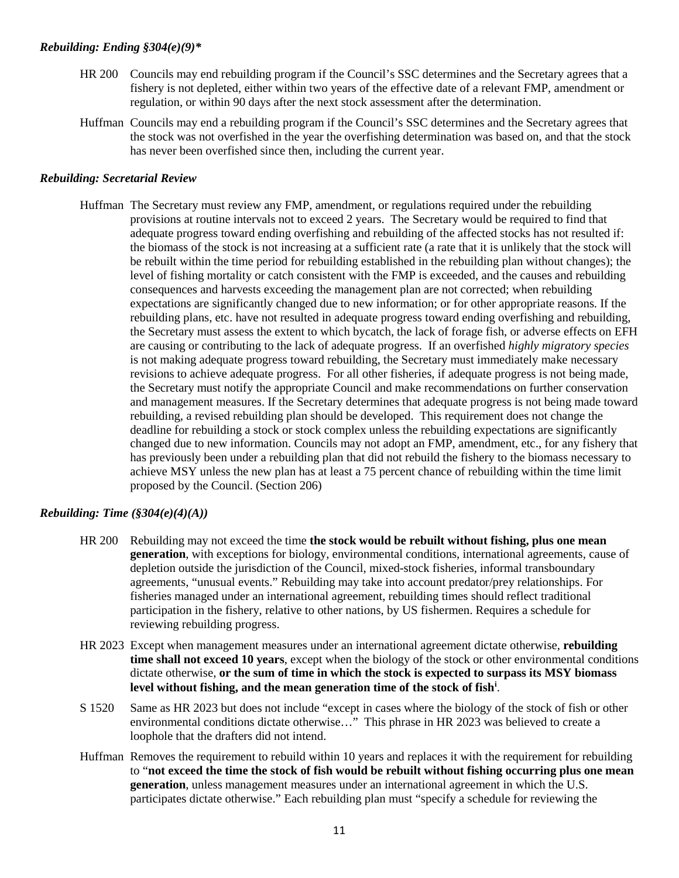## *Rebuilding: Ending §304(e)(9)\**

- HR 200 Councils may end rebuilding program if the Council's SSC determines and the Secretary agrees that a fishery is not depleted, either within two years of the effective date of a relevant FMP, amendment or regulation, or within 90 days after the next stock assessment after the determination.
- Huffman Councils may end a rebuilding program if the Council's SSC determines and the Secretary agrees that the stock was not overfished in the year the overfishing determination was based on, and that the stock has never been overfished since then, including the current year.

## *Rebuilding: Secretarial Review*

Huffman The Secretary must review any FMP, amendment, or regulations required under the rebuilding provisions at routine intervals not to exceed 2 years. The Secretary would be required to find that adequate progress toward ending overfishing and rebuilding of the affected stocks has not resulted if: the biomass of the stock is not increasing at a sufficient rate (a rate that it is unlikely that the stock will be rebuilt within the time period for rebuilding established in the rebuilding plan without changes); the level of fishing mortality or catch consistent with the FMP is exceeded, and the causes and rebuilding consequences and harvests exceeding the management plan are not corrected; when rebuilding expectations are significantly changed due to new information; or for other appropriate reasons. If the rebuilding plans, etc. have not resulted in adequate progress toward ending overfishing and rebuilding, the Secretary must assess the extent to which bycatch, the lack of forage fish, or adverse effects on EFH are causing or contributing to the lack of adequate progress. If an overfished *highly migratory species* is not making adequate progress toward rebuilding, the Secretary must immediately make necessary revisions to achieve adequate progress. For all other fisheries, if adequate progress is not being made, the Secretary must notify the appropriate Council and make recommendations on further conservation and management measures. If the Secretary determines that adequate progress is not being made toward rebuilding, a revised rebuilding plan should be developed. This requirement does not change the deadline for rebuilding a stock or stock complex unless the rebuilding expectations are significantly changed due to new information. Councils may not adopt an FMP, amendment, etc., for any fishery that has previously been under a rebuilding plan that did not rebuild the fishery to the biomass necessary to achieve MSY unless the new plan has at least a 75 percent chance of rebuilding within the time limit proposed by the Council. (Section 206)

## *Rebuilding: Time (§304(e)(4)(A))*

- HR 200 Rebuilding may not exceed the time **the stock would be rebuilt without fishing, plus one mean generation**, with exceptions for biology, environmental conditions, international agreements, cause of depletion outside the jurisdiction of the Council, mixed-stock fisheries, informal transboundary agreements, "unusual events." Rebuilding may take into account predator/prey relationships. For fisheries managed under an international agreement, rebuilding times should reflect traditional participation in the fishery, relative to other nations, by US fishermen. Requires a schedule for reviewing rebuilding progress.
- HR 2023 Except when management measures under an international agreement dictate otherwise, **rebuilding time shall not exceed 10 years**, except when the biology of the stock or other environmental conditions dictate otherwise, **or the sum of time in which the stock is expected to surpass its MSY biomass level without fishing, and the mean generation time of the stock of fish[i](#page-13-0)** .
- S 1520 Same as HR 2023 but does not include "except in cases where the biology of the stock of fish or other environmental conditions dictate otherwise…" This phrase in HR 2023 was believed to create a loophole that the drafters did not intend.
- Huffman Removes the requirement to rebuild within 10 years and replaces it with the requirement for rebuilding to "**not exceed the time the stock of fish would be rebuilt without fishing occurring plus one mean generation**, unless management measures under an international agreement in which the U.S. participates dictate otherwise." Each rebuilding plan must "specify a schedule for reviewing the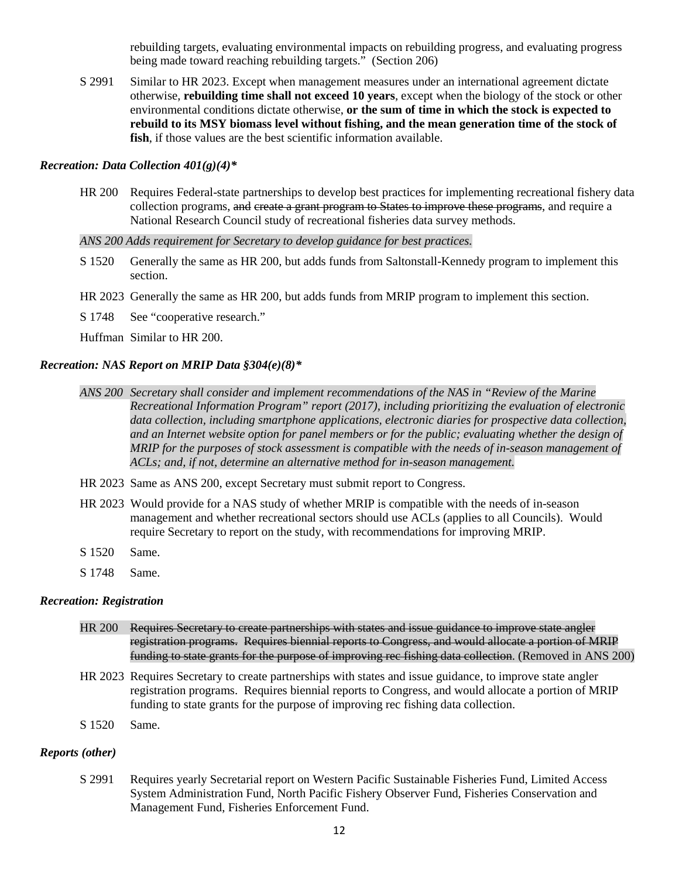rebuilding targets, evaluating environmental impacts on rebuilding progress, and evaluating progress being made toward reaching rebuilding targets." (Section 206)

S 2991 Similar to HR 2023. Except when management measures under an international agreement dictate otherwise, **rebuilding time shall not exceed 10 years**, except when the biology of the stock or other environmental conditions dictate otherwise, **or the sum of time in which the stock is expected to rebuild to its MSY biomass level without fishing, and the mean generation time of the stock of fish**, if those values are the best scientific information available.

### *Recreation: Data Collection 401(g)(4)\**

HR 200 Requires Federal-state partnerships to develop best practices for implementing recreational fishery data collection programs, and create a grant program to States to improve these programs, and require a National Research Council study of recreational fisheries data survey methods.

*ANS 200 Adds requirement for Secretary to develop guidance for best practices.*

- S 1520 Generally the same as HR 200, but adds funds from Saltonstall-Kennedy program to implement this section.
- HR 2023 Generally the same as HR 200, but adds funds from MRIP program to implement this section.
- S 1748 See "cooperative research."

Huffman Similar to HR 200.

## *Recreation: NAS Report on MRIP Data §304(e)(8)\**

- *ANS 200 Secretary shall consider and implement recommendations of the NAS in "Review of the Marine Recreational Information Program" report (2017), including prioritizing the evaluation of electronic data collection, including smartphone applications, electronic diaries for prospective data collection, and an Internet website option for panel members or for the public; evaluating whether the design of MRIP for the purposes of stock assessment is compatible with the needs of in-season management of ACLs; and, if not, determine an alternative method for in-season management.*
- HR 2023 Same as ANS 200, except Secretary must submit report to Congress.
- HR 2023 Would provide for a NAS study of whether MRIP is compatible with the needs of in-season management and whether recreational sectors should use ACLs (applies to all Councils). Would require Secretary to report on the study, with recommendations for improving MRIP.
- S 1520 Same.
- S 1748 Same.

#### *Recreation: Registration*

- HR 200 Requires Secretary to create partnerships with states and issue guidance to improve state angler registration programs. Requires biennial reports to Congress, and would allocate a portion of MRIP funding to state grants for the purpose of improving rec fishing data collection. (Removed in ANS 200)
- HR 2023 Requires Secretary to create partnerships with states and issue guidance, to improve state angler registration programs. Requires biennial reports to Congress, and would allocate a portion of MRIP funding to state grants for the purpose of improving rec fishing data collection.
- S 1520 Same.

## *Reports (other)*

S 2991 Requires yearly Secretarial report on Western Pacific Sustainable Fisheries Fund, Limited Access System Administration Fund, North Pacific Fishery Observer Fund, Fisheries Conservation and Management Fund, Fisheries Enforcement Fund.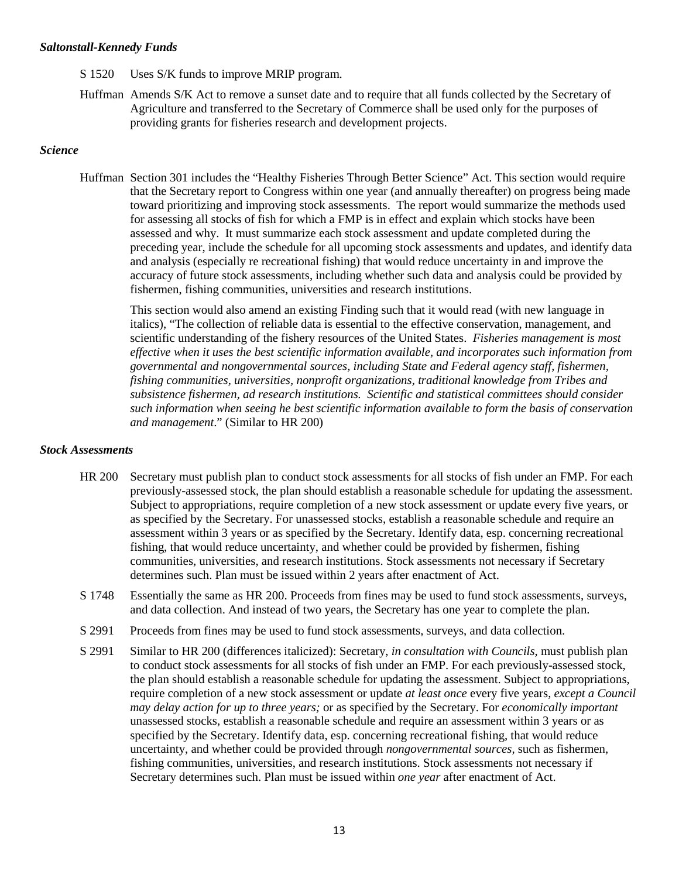#### *Saltonstall-Kennedy Funds*

- S 1520 Uses S/K funds to improve MRIP program.
- Huffman Amends S/K Act to remove a sunset date and to require that all funds collected by the Secretary of Agriculture and transferred to the Secretary of Commerce shall be used only for the purposes of providing grants for fisheries research and development projects.

## *Science*

Huffman Section 301 includes the "Healthy Fisheries Through Better Science" Act. This section would require that the Secretary report to Congress within one year (and annually thereafter) on progress being made toward prioritizing and improving stock assessments. The report would summarize the methods used for assessing all stocks of fish for which a FMP is in effect and explain which stocks have been assessed and why. It must summarize each stock assessment and update completed during the preceding year, include the schedule for all upcoming stock assessments and updates, and identify data and analysis (especially re recreational fishing) that would reduce uncertainty in and improve the accuracy of future stock assessments, including whether such data and analysis could be provided by fishermen, fishing communities, universities and research institutions.

This section would also amend an existing Finding such that it would read (with new language in italics), "The collection of reliable data is essential to the effective conservation, management, and scientific understanding of the fishery resources of the United States. *Fisheries management is most effective when it uses the best scientific information available, and incorporates such information from governmental and nongovernmental sources, including State and Federal agency staff, fishermen, fishing communities, universities, nonprofit organizations, traditional knowledge from Tribes and subsistence fishermen, ad research institutions. Scientific and statistical committees should consider such information when seeing he best scientific information available to form the basis of conservation and management*." (Similar to HR 200)

## *Stock Assessments*

- HR 200 Secretary must publish plan to conduct stock assessments for all stocks of fish under an FMP. For each previously-assessed stock, the plan should establish a reasonable schedule for updating the assessment. Subject to appropriations, require completion of a new stock assessment or update every five years, or as specified by the Secretary. For unassessed stocks, establish a reasonable schedule and require an assessment within 3 years or as specified by the Secretary. Identify data, esp. concerning recreational fishing, that would reduce uncertainty, and whether could be provided by fishermen, fishing communities, universities, and research institutions. Stock assessments not necessary if Secretary determines such. Plan must be issued within 2 years after enactment of Act.
- S 1748 Essentially the same as HR 200. Proceeds from fines may be used to fund stock assessments, surveys, and data collection. And instead of two years, the Secretary has one year to complete the plan.
- S 2991 Proceeds from fines may be used to fund stock assessments, surveys, and data collection.
- S 2991 Similar to HR 200 (differences italicized): Secretary, *in consultation with Councils*, must publish plan to conduct stock assessments for all stocks of fish under an FMP. For each previously-assessed stock, the plan should establish a reasonable schedule for updating the assessment. Subject to appropriations, require completion of a new stock assessment or update *at least once* every five years, *except a Council may delay action for up to three years;* or as specified by the Secretary. For *economically important* unassessed stocks, establish a reasonable schedule and require an assessment within 3 years or as specified by the Secretary. Identify data, esp. concerning recreational fishing, that would reduce uncertainty, and whether could be provided through *nongovernmental sources,* such as fishermen, fishing communities, universities, and research institutions. Stock assessments not necessary if Secretary determines such. Plan must be issued within *one year* after enactment of Act.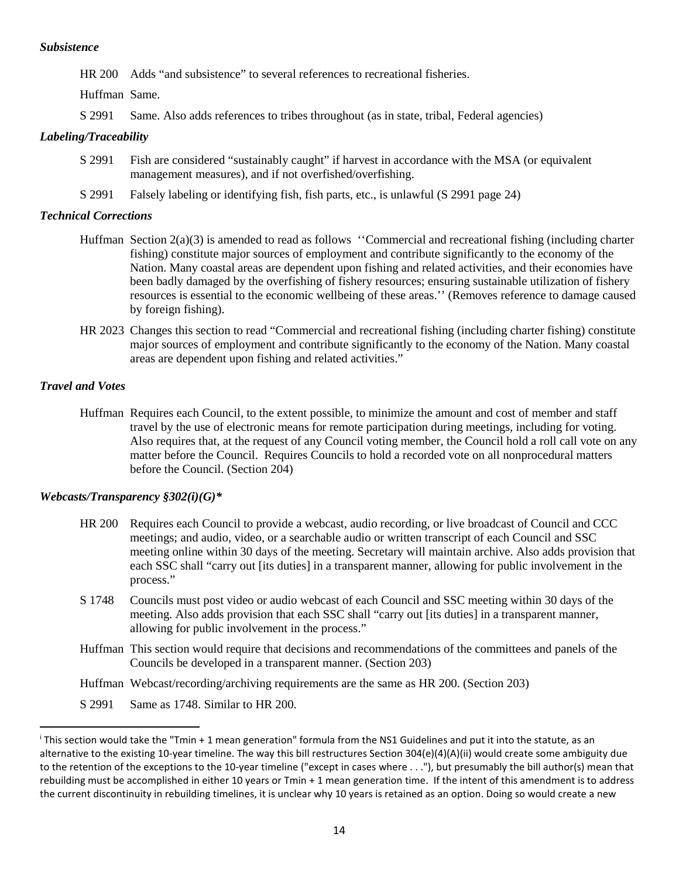### *Subsistence*

HR 200 Adds "and subsistence" to several references to recreational fisheries.

Huffman Same.

S 2991 Same. Also adds references to tribes throughout (as in state, tribal, Federal agencies)

# *Labeling/Traceability*

- S 2991 Fish are considered "sustainably caught" if harvest in accordance with the MSA (or equivalent management measures), and if not overfished/overfishing.
- S 2991 Falsely labeling or identifying fish, fish parts, etc., is unlawful (S 2991 page 24)

## *Technical Corrections*

- Huffman Section 2(a)(3) is amended to read as follows ''Commercial and recreational fishing (including charter fishing) constitute major sources of employment and contribute significantly to the economy of the Nation. Many coastal areas are dependent upon fishing and related activities, and their economies have been badly damaged by the overfishing of fishery resources; ensuring sustainable utilization of fishery resources is essential to the economic wellbeing of these areas.'' (Removes reference to damage caused by foreign fishing).
- HR 2023 Changes this section to read "Commercial and recreational fishing (including charter fishing) constitute major sources of employment and contribute significantly to the economy of the Nation. Many coastal areas are dependent upon fishing and related activities."

# *Travel and Votes*

 $\overline{\phantom{a}}$ 

Huffman Requires each Council, to the extent possible, to minimize the amount and cost of member and staff travel by the use of electronic means for remote participation during meetings, including for voting. Also requires that, at the request of any Council voting member, the Council hold a roll call vote on any matter before the Council. Requires Councils to hold a recorded vote on all nonprocedural matters before the Council. (Section 204)

# *Webcasts/Transparency §302(i)(G)\**

- HR 200 Requires each Council to provide a webcast, audio recording, or live broadcast of Council and CCC meetings; and audio, video, or a searchable audio or written transcript of each Council and SSC meeting online within 30 days of the meeting. Secretary will maintain archive. Also adds provision that each SSC shall "carry out [its duties] in a transparent manner, allowing for public involvement in the process."
- S 1748 Councils must post video or audio webcast of each Council and SSC meeting within 30 days of the meeting. Also adds provision that each SSC shall "carry out [its duties] in a transparent manner, allowing for public involvement in the process."
- Huffman This section would require that decisions and recommendations of the committees and panels of the Councils be developed in a transparent manner. (Section 203)
- Huffman Webcast/recording/archiving requirements are the same as HR 200. (Section 203)
- S 2991 Same as 1748. Similar to HR 200.

<span id="page-13-0"></span><sup>i</sup> This section would take the "Tmin + 1 mean generation" formula from the NS1 Guidelines and put it into the statute, as an alternative to the existing 10-year timeline. The way this bill restructures Section 304(e)(4)(A)(ii) would create some ambiguity due to the retention of the exceptions to the 10-year timeline ("except in cases where . . ."), but presumably the bill author(s) mean that rebuilding must be accomplished in either 10 years or Tmin + 1 mean generation time. If the intent of this amendment is to address the current discontinuity in rebuilding timelines, it is unclear why 10 years is retained as an option. Doing so would create a new